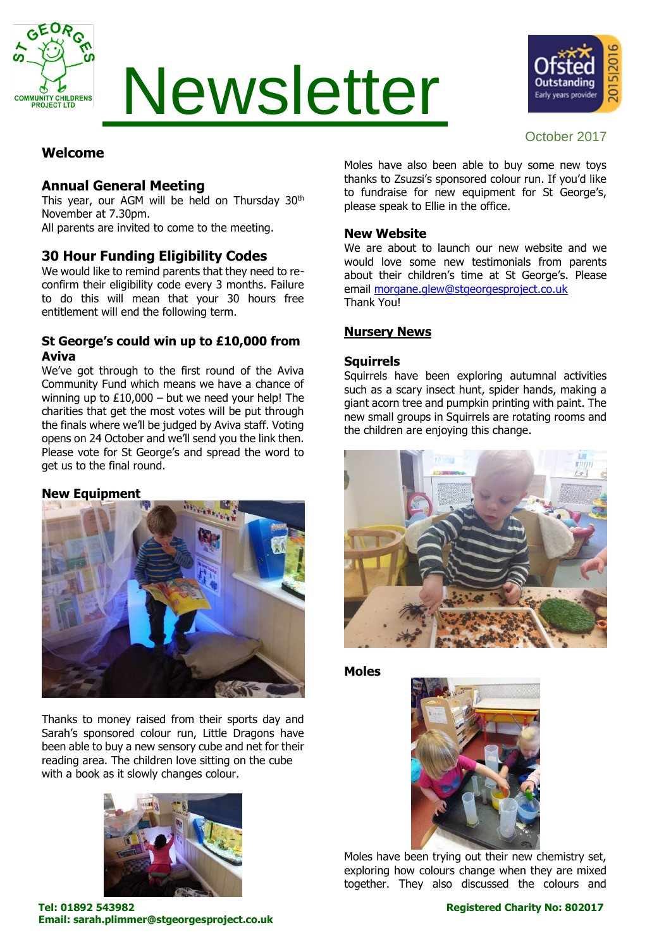

# Newsletter



# October 2017

# **Welcome**

# **Annual General Meeting**

This year, our AGM will be held on Thursday 30<sup>th</sup> November at 7.30pm.

All parents are invited to come to the meeting.

# **30 Hour Funding Eligibility Codes**

We would like to remind parents that they need to reconfirm their eligibility code every 3 months. Failure to do this will mean that your 30 hours free entitlement will end the following term.

# **St George's could win up to £10,000 from Aviva**

We've got through to the first round of the Aviva Community Fund which means we have a chance of winning up to  $£10,000 -$  but we need your help! The charities that get the most votes will be put through the finals where we'll be judged by Aviva staff. Voting opens on 24 October and we'll send you the link then. Please vote for St George's and spread the word to get us to the final round.

# **New Equipment**



Thanks to money raised from their sports day and Sarah's sponsored colour run, Little Dragons have been able to buy a new sensory cube and net for their reading area. The children love sitting on the cube with a book as it slowly changes colour.



Moles have also been able to buy some new toys thanks to Zsuzsi's sponsored colour run. If you'd like to fundraise for new equipment for St George's, please speak to Ellie in the office.

### **New Website**

We are about to launch our new website and we would love some new testimonials from parents about their children's time at St George's. Please email [morgane.glew@stgeorgesproject.co.uk](mailto:morgane.glew@stgeorgesproject.co.uk) Thank You!

# **Nursery News**

#### **Squirrels**

Squirrels have been exploring autumnal activities such as a scary insect hunt, spider hands, making a giant acorn tree and pumpkin printing with paint. The new small groups in Squirrels are rotating rooms and the children are enjoying this change.



#### **Moles**



Moles have been trying out their new chemistry set, exploring how colours change when they are mixed together. They also discussed the colours and

**Tel: 01892 543982 Registered Charity No: 802017 Email: sarah.plimmer@stgeorgesproject.co.uk**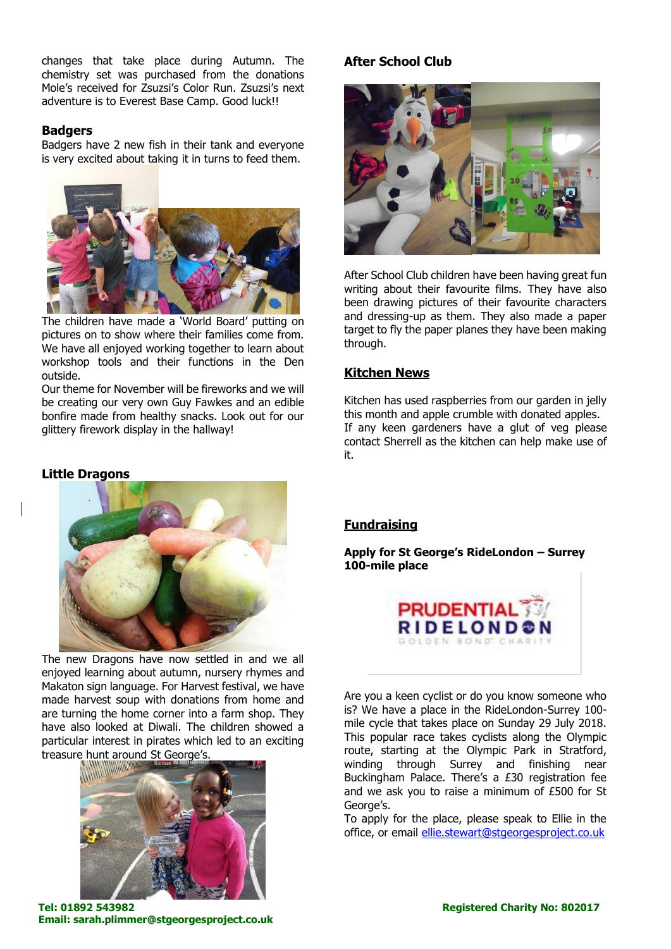changes that take place during Autumn. The chemistry set was purchased from the donations Mole's received for Zsuzsi's Color Run. Zsuzsi's next adventure is to Everest Base Camp. Good luck!!

#### **Badgers**

Badgers have 2 new fish in their tank and everyone is very excited about taking it in turns to feed them.



The children have made a 'World Board' putting on pictures on to show where their families come from. We have all enjoyed working together to learn about workshop tools and their functions in the Den outside.

Our theme for November will be fireworks and we will be creating our very own Guy Fawkes and an edible bonfire made from healthy snacks. Look out for our glittery firework display in the hallway!

#### **Little Dragons**



The new Dragons have now settled in and we all enjoyed learning about autumn, nursery rhymes and Makaton sign language. For Harvest festival, we have made harvest soup with donations from home and are turning the home corner into a farm shop. They have also looked at Diwali. The children showed a particular interest in pirates which led to an exciting treasure hunt around St George's.



#### **Tel: 01892 543982 Registered Charity No: 802017 Email: sarah.plimmer@stgeorgesproject.co.uk**

# **After School Club**



After School Club children have been having great fun writing about their favourite films. They have also been drawing pictures of their favourite characters and dressing-up as them. They also made a paper target to fly the paper planes they have been making through.

#### **Kitchen News**

Kitchen has used raspberries from our garden in jelly this month and apple crumble with donated apples. If any keen gardeners have a glut of veg please contact Sherrell as the kitchen can help make use of it.

#### **Fundraising**

**Apply for St George's RideLondon – Surrey 100-mile place**



Are you a keen cyclist or do you know someone who is? We have a place in the RideLondon-Surrey 100 mile cycle that takes place on Sunday 29 July 2018. This popular race takes cyclists along the Olympic route, starting at the Olympic Park in Stratford, winding through Surrey and finishing near Buckingham Palace. There's a £30 registration fee and we ask you to raise a minimum of £500 for St George's.

To apply for the place, please speak to Ellie in the office, or email [ellie.stewart@stgeorgesproject.co.uk](mailto:ellie.stewart@stgeorgesproject.co.uk)